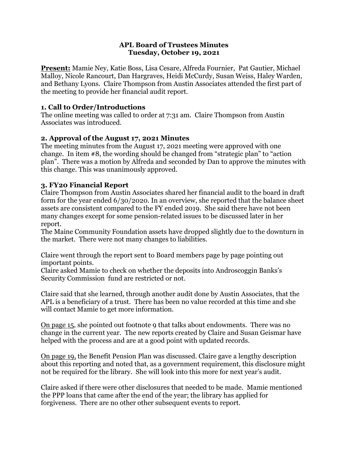#### **APL Board of Trustees Minutes Tuesday, October 19, 2021**

**Present:** Mamie Ney, Katie Boss, Lisa Cesare, Alfreda Fournier, Pat Gautier, Michael Malloy, Nicole Rancourt, Dan Hargraves, Heidi McCurdy, Susan Weiss, Haley Warden, and Bethany Lyons. Claire Thompson from Austin Associates attended the first part of the meeting to provide her financial audit report.

### **1. Call to Order/Introductions**

The online meeting was called to order at 7:31 am. Claire Thompson from Austin Associates was introduced.

# **2. Approval of the August 17, 2021 Minutes**

The meeting minutes from the August 17, 2021 meeting were approved with one change. In item #8, the wording should be changed from "strategic plan" to "action plan". There was a motion by Alfreda and seconded by Dan to approve the minutes with this change. This was unanimously approved.

# **3. FY20 Financial Report**

Claire Thompson from Austin Associates shared her financial audit to the board in draft form for the year ended 6/30/2020. In an overview, she reported that the balance sheet assets are consistent compared to the FY ended 2019. She said there have not been many changes except for some pension-related issues to be discussed later in her report.

The Maine Community Foundation assets have dropped slightly due to the downturn in the market. There were not many changes to liabilities.

Claire went through the report sent to Board members page by page pointing out important points.

Claire asked Mamie to check on whether the deposits into Androscoggin Banks's Security Commission fund are restricted or not.

Claire said that she learned, through another audit done by Austin Associates, that the APL is a beneficiary of a trust. There has been no value recorded at this time and she will contact Mamie to get more information.

On page 15, she pointed out footnote 9 that talks about endowments. There was no change in the current year. The new reports created by Claire and Susan Geismar have helped with the process and are at a good point with updated records.

On page 19, the Benefit Pension Plan was discussed. Claire gave a lengthy description about this reporting and noted that, as a government requirement, this disclosure might not be required for the library. She will look into this more for next year's audit.

Claire asked if there were other disclosures that needed to be made. Mamie mentioned the PPP loans that came after the end of the year; the library has applied for forgiveness. There are no other other subsequent events to report.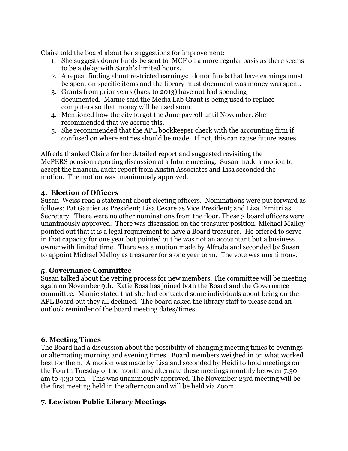Claire told the board about her suggestions for improvement:

- 1. She suggests donor funds be sent to MCF on a more regular basis as there seems to be a delay with Sarah's limited hours.
- 2. A repeat finding about restricted earnings: donor funds that have earnings must be spent on specific items and the library must document was money was spent.
- 3. Grants from prior years (back to 2013) have not had spending documented. Mamie said the Media Lab Grant is being used to replace computers so that money will be used soon.
- 4. Mentioned how the city forgot the June payroll until November. She recommended that we accrue this.
- 5. She recommended that the APL bookkeeper check with the accounting firm if confused on where entries should be made. If not, this can cause future issues.

Alfreda thanked Claire for her detailed report and suggested revisiting the MePERS pension reporting discussion at a future meeting. Susan made a motion to accept the financial audit report from Austin Associates and Lisa seconded the motion. The motion was unanimously approved.

### **4. Election of Officers**

Susan Weiss read a statement about electing officers. Nominations were put forward as follows: Pat Gautier as President; Lisa Cesare as Vice President; and Liza Dimitri as Secretary. There were no other nominations from the floor. These 3 board officers were unanimously approved. There was discussion on the treasurer position. Michael Malloy pointed out that it is a legal requirement to have a Board treasurer. He offered to serve in that capacity for one year but pointed out he was not an accountant but a business owner with limited time. There was a motion made by Alfreda and seconded by Susan to appoint Michael Malloy as treasurer for a one year term. The vote was unanimous.

#### **5. Governance Committee**

Susan talked about the vetting process for new members. The committee will be meeting again on November 9th. Katie Boss has joined both the Board and the Governance committee. Mamie stated that she had contacted some individuals about being on the APL Board but they all declined. The board asked the library staff to please send an outlook reminder of the board meeting dates/times.

#### **6. Meeting Times**

The Board had a discussion about the possibility of changing meeting times to evenings or alternating morning and evening times. Board members weighed in on what worked best for them. A motion was made by Lisa and seconded by Heidi to hold meetings on the Fourth Tuesday of the month and alternate these meetings monthly between 7:30 am to 4:30 pm. This was unanimously approved. The November 23rd meeting will be the first meeting held in the afternoon and will be held via Zoom.

### **7. Lewiston Public Library Meetings**